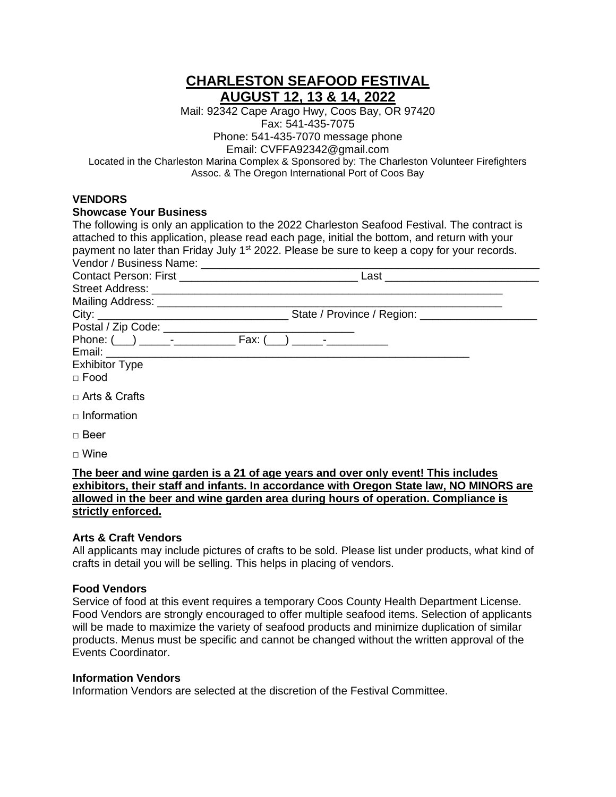# **CHARLESTON SEAFOOD FESTIVAL AUGUST 12, 13 & 14, 2022**

Mail: 92342 Cape Arago Hwy, Coos Bay, OR 97420 Fax: 541-435-7075 Phone: 541-435-7070 message phone Email: CVFFA92342@gmail.com Located in the Charleston Marina Complex & Sponsored by: The Charleston Volunteer Firefighters Assoc. & The Oregon International Port of Coos Bay

# **VENDORS**

# **Showcase Your Business**

| The following is only an application to the 2022 Charleston Seafood Festival. The contract is<br>attached to this application, please read each page, initial the bottom, and return with your<br>payment no later than Friday July 1 <sup>st</sup> 2022. Please be sure to keep a copy for your records. |  |
|-----------------------------------------------------------------------------------------------------------------------------------------------------------------------------------------------------------------------------------------------------------------------------------------------------------|--|
|                                                                                                                                                                                                                                                                                                           |  |
|                                                                                                                                                                                                                                                                                                           |  |
|                                                                                                                                                                                                                                                                                                           |  |
|                                                                                                                                                                                                                                                                                                           |  |
|                                                                                                                                                                                                                                                                                                           |  |
|                                                                                                                                                                                                                                                                                                           |  |
|                                                                                                                                                                                                                                                                                                           |  |
| <b>Exhibitor Type</b>                                                                                                                                                                                                                                                                                     |  |
| $\Box$ Food                                                                                                                                                                                                                                                                                               |  |
| $\Box$ Arts & Crafts                                                                                                                                                                                                                                                                                      |  |
| $\Box$ Information                                                                                                                                                                                                                                                                                        |  |
| $\Box$ Beer                                                                                                                                                                                                                                                                                               |  |
| $\Box$ Wine                                                                                                                                                                                                                                                                                               |  |

#### **The beer and wine garden is a 21 of age years and over only event! This includes exhibitors, their staff and infants. In accordance with Oregon State law, NO MINORS are allowed in the beer and wine garden area during hours of operation. Compliance is strictly enforced.**

# **Arts & Craft Vendors**

All applicants may include pictures of crafts to be sold. Please list under products, what kind of crafts in detail you will be selling. This helps in placing of vendors.

# **Food Vendors**

Service of food at this event requires a temporary Coos County Health Department License. Food Vendors are strongly encouraged to offer multiple seafood items. Selection of applicants will be made to maximize the variety of seafood products and minimize duplication of similar products. Menus must be specific and cannot be changed without the written approval of the Events Coordinator.

#### **Information Vendors**

Information Vendors are selected at the discretion of the Festival Committee.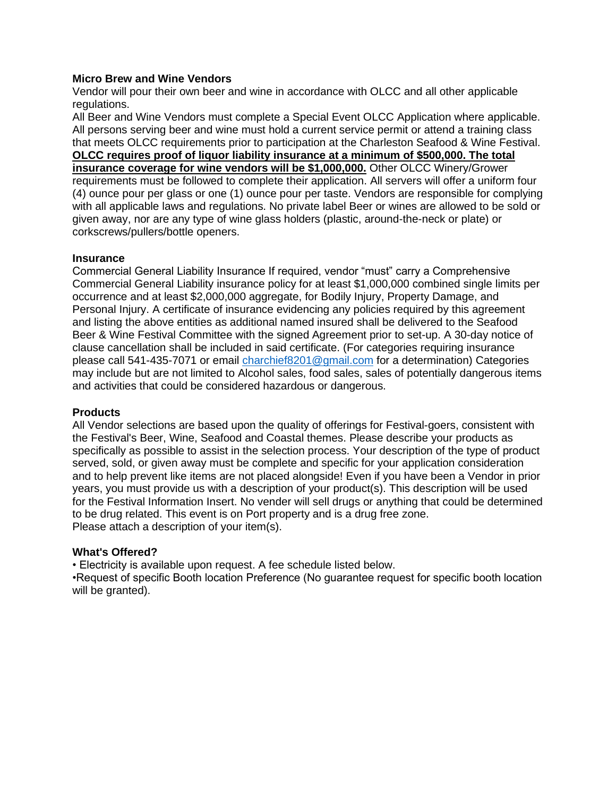#### **Micro Brew and Wine Vendors**

Vendor will pour their own beer and wine in accordance with OLCC and all other applicable regulations.

All Beer and Wine Vendors must complete a Special Event OLCC Application where applicable. All persons serving beer and wine must hold a current service permit or attend a training class that meets OLCC requirements prior to participation at the Charleston Seafood & Wine Festival. **OLCC requires proof of liquor liability insurance at a minimum of \$500,000. The total insurance coverage for wine vendors will be \$1,000,000.** Other OLCC Winery/Grower requirements must be followed to complete their application. All servers will offer a uniform four (4) ounce pour per glass or one (1) ounce pour per taste. Vendors are responsible for complying with all applicable laws and regulations. No private label Beer or wines are allowed to be sold or given away, nor are any type of wine glass holders (plastic, around-the-neck or plate) or corkscrews/pullers/bottle openers.

#### **Insurance**

Commercial General Liability Insurance If required, vendor "must" carry a Comprehensive Commercial General Liability insurance policy for at least \$1,000,000 combined single limits per occurrence and at least \$2,000,000 aggregate, for Bodily Injury, Property Damage, and Personal Injury. A certificate of insurance evidencing any policies required by this agreement and listing the above entities as additional named insured shall be delivered to the Seafood Beer & Wine Festival Committee with the signed Agreement prior to set-up. A 30-day notice of clause cancellation shall be included in said certificate. (For categories requiring insurance please call 541-435-7071 or email [charchief8201@gmail.com](mailto:charchief8201@gmail.com) for a determination) Categories may include but are not limited to Alcohol sales, food sales, sales of potentially dangerous items and activities that could be considered hazardous or dangerous.

#### **Products**

All Vendor selections are based upon the quality of offerings for Festival-goers, consistent with the Festival's Beer, Wine, Seafood and Coastal themes. Please describe your products as specifically as possible to assist in the selection process. Your description of the type of product served, sold, or given away must be complete and specific for your application consideration and to help prevent like items are not placed alongside! Even if you have been a Vendor in prior years, you must provide us with a description of your product(s). This description will be used for the Festival Information Insert. No vender will sell drugs or anything that could be determined to be drug related. This event is on Port property and is a drug free zone. Please attach a description of your item(s).

#### **What's Offered?**

• Electricity is available upon request. A fee schedule listed below.

•Request of specific Booth location Preference (No guarantee request for specific booth location will be granted).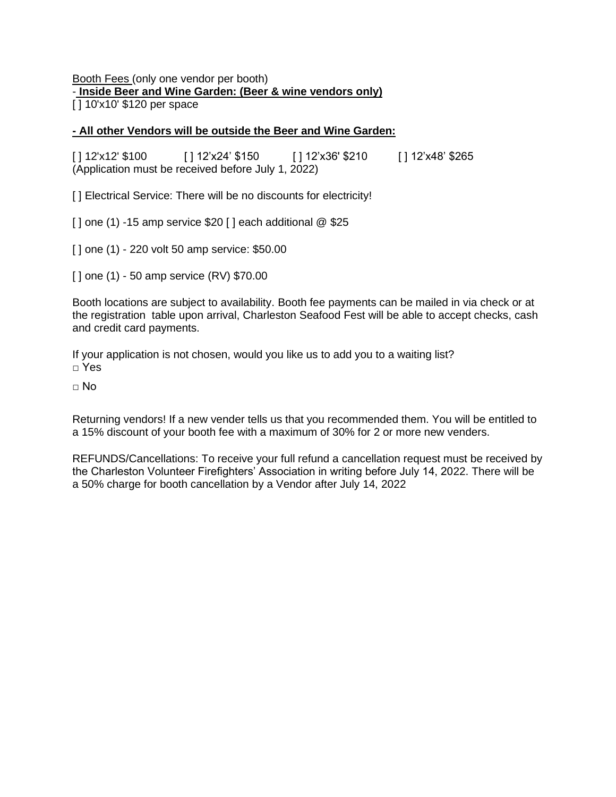# Booth Fees (only one vendor per booth) - **Inside Beer and Wine Garden: (Beer & wine vendors only)**

[ ] 10'x10' \$120 per space

# **- All other Vendors will be outside the Beer and Wine Garden:**

[ ] 12'x12' \$100 [ ] 12'x24' \$150 [ ] 12'x36' \$210 [ ] 12'x48' \$265 (Application must be received before July 1, 2022)

[] Electrical Service: There will be no discounts for electricity!

 $\lceil$  0ne (1) -15 amp service \$20  $\lceil$  each additional  $\otimes$  \$25

[ ] one (1) - 220 volt 50 amp service: \$50.00

[ ] one (1) - 50 amp service (RV) \$70.00

Booth locations are subject to availability. Booth fee payments can be mailed in via check or at the registration table upon arrival, Charleston Seafood Fest will be able to accept checks, cash and credit card payments.

If your application is not chosen, would you like us to add you to a waiting list? □ Yes

 $\Box$  No

Returning vendors! If a new vender tells us that you recommended them. You will be entitled to a 15% discount of your booth fee with a maximum of 30% for 2 or more new venders.

REFUNDS/Cancellations: To receive your full refund a cancellation request must be received by the Charleston Volunteer Firefighters' Association in writing before July 14, 2022. There will be a 50% charge for booth cancellation by a Vendor after July 14, 2022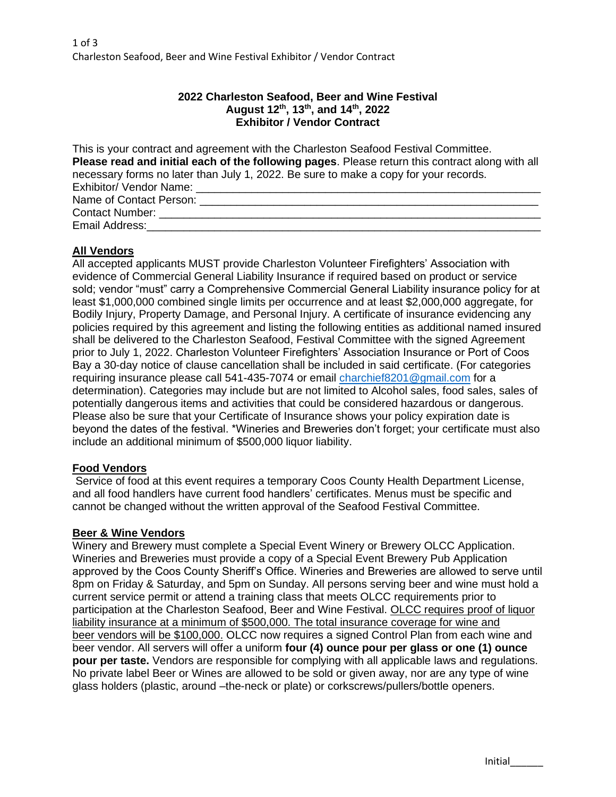# **2022 Charleston Seafood, Beer and Wine Festival August 12th , 13th, and 14th , 2022 Exhibitor / Vendor Contract**

| This is your contract and agreement with the Charleston Seafood Festival Committee.             |
|-------------------------------------------------------------------------------------------------|
| Please read and initial each of the following pages. Please return this contract along with all |
| necessary forms no later than July 1, 2022. Be sure to make a copy for your records.            |
| Exhibitor/ Vendor Name:                                                                         |
| Name of Contact Person: __________________                                                      |
| <b>Contact Number:</b>                                                                          |
| Email Address:                                                                                  |

#### **All Vendors**

All accepted applicants MUST provide Charleston Volunteer Firefighters' Association with evidence of Commercial General Liability Insurance if required based on product or service sold; vendor "must" carry a Comprehensive Commercial General Liability insurance policy for at least \$1,000,000 combined single limits per occurrence and at least \$2,000,000 aggregate, for Bodily Injury, Property Damage, and Personal Injury. A certificate of insurance evidencing any policies required by this agreement and listing the following entities as additional named insured shall be delivered to the Charleston Seafood, Festival Committee with the signed Agreement prior to July 1, 2022. Charleston Volunteer Firefighters' Association Insurance or Port of Coos Bay a 30-day notice of clause cancellation shall be included in said certificate. (For categories requiring insurance please call 541-435-7074 or email [charchief8201@gmail.com](mailto:charchief8201@gmail.com) for a determination). Categories may include but are not limited to Alcohol sales, food sales, sales of potentially dangerous items and activities that could be considered hazardous or dangerous. Please also be sure that your Certificate of Insurance shows your policy expiration date is beyond the dates of the festival. \*Wineries and Breweries don't forget; your certificate must also include an additional minimum of \$500,000 liquor liability.

#### **Food Vendors**

Service of food at this event requires a temporary Coos County Health Department License, and all food handlers have current food handlers' certificates. Menus must be specific and cannot be changed without the written approval of the Seafood Festival Committee.

#### **Beer & Wine Vendors**

Winery and Brewery must complete a Special Event Winery or Brewery OLCC Application. Wineries and Breweries must provide a copy of a Special Event Brewery Pub Application approved by the Coos County Sheriff's Office. Wineries and Breweries are allowed to serve until 8pm on Friday & Saturday, and 5pm on Sunday. All persons serving beer and wine must hold a current service permit or attend a training class that meets OLCC requirements prior to participation at the Charleston Seafood, Beer and Wine Festival. OLCC requires proof of liquor liability insurance at a minimum of \$500,000. The total insurance coverage for wine and beer vendors will be \$100,000. OLCC now requires a signed Control Plan from each wine and beer vendor. All servers will offer a uniform **four (4) ounce pour per glass or one (1) ounce pour per taste.** Vendors are responsible for complying with all applicable laws and regulations. No private label Beer or Wines are allowed to be sold or given away, nor are any type of wine glass holders (plastic, around –the-neck or plate) or corkscrews/pullers/bottle openers.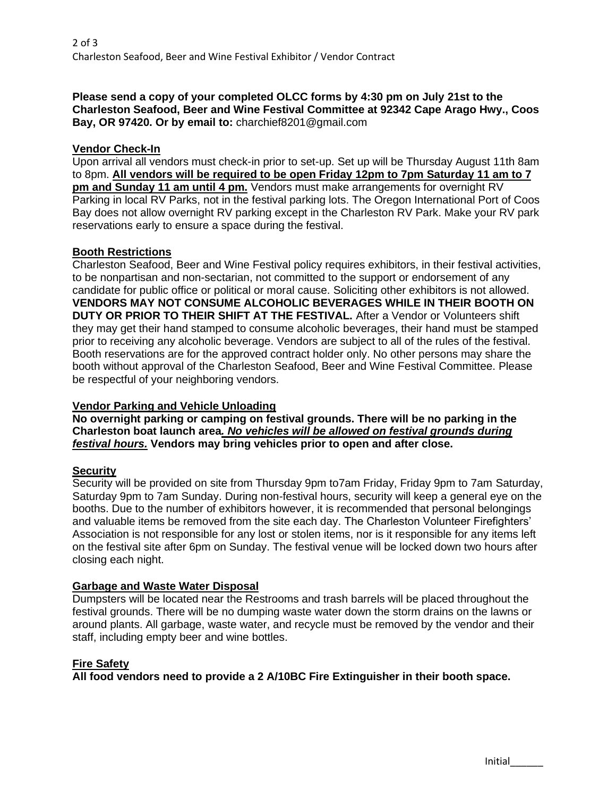**Please send a copy of your completed OLCC forms by 4:30 pm on July 21st to the Charleston Seafood, Beer and Wine Festival Committee at 92342 Cape Arago Hwy., Coos Bay, OR 97420. Or by email to:** charchief8201@gmail.com

# **Vendor Check-In**

Upon arrival all vendors must check-in prior to set-up. Set up will be Thursday August 11th 8am to 8pm. **All vendors will be required to be open Friday 12pm to 7pm Saturday 11 am to 7 pm and Sunday 11 am until 4 pm.** Vendors must make arrangements for overnight RV Parking in local RV Parks, not in the festival parking lots. The Oregon International Port of Coos Bay does not allow overnight RV parking except in the Charleston RV Park. Make your RV park reservations early to ensure a space during the festival.

# **Booth Restrictions**

Charleston Seafood, Beer and Wine Festival policy requires exhibitors, in their festival activities, to be nonpartisan and non-sectarian, not committed to the support or endorsement of any candidate for public office or political or moral cause. Soliciting other exhibitors is not allowed. **VENDORS MAY NOT CONSUME ALCOHOLIC BEVERAGES WHILE IN THEIR BOOTH ON DUTY OR PRIOR TO THEIR SHIFT AT THE FESTIVAL.** After a Vendor or Volunteers shift they may get their hand stamped to consume alcoholic beverages, their hand must be stamped prior to receiving any alcoholic beverage. Vendors are subject to all of the rules of the festival. Booth reservations are for the approved contract holder only. No other persons may share the booth without approval of the Charleston Seafood, Beer and Wine Festival Committee. Please be respectful of your neighboring vendors.

# **Vendor Parking and Vehicle Unloading**

**No overnight parking or camping on festival grounds. There will be no parking in the Charleston boat launch area***. No vehicles will be allowed on festival grounds during festival hours.* **Vendors may bring vehicles prior to open and after close.** 

# **Security**

Security will be provided on site from Thursday 9pm to7am Friday, Friday 9pm to 7am Saturday, Saturday 9pm to 7am Sunday. During non-festival hours, security will keep a general eye on the booths. Due to the number of exhibitors however, it is recommended that personal belongings and valuable items be removed from the site each day. The Charleston Volunteer Firefighters' Association is not responsible for any lost or stolen items, nor is it responsible for any items left on the festival site after 6pm on Sunday. The festival venue will be locked down two hours after closing each night.

# **Garbage and Waste Water Disposal**

Dumpsters will be located near the Restrooms and trash barrels will be placed throughout the festival grounds. There will be no dumping waste water down the storm drains on the lawns or around plants. All garbage, waste water, and recycle must be removed by the vendor and their staff, including empty beer and wine bottles.

# **Fire Safety**

**All food vendors need to provide a 2 A/10BC Fire Extinguisher in their booth space.**